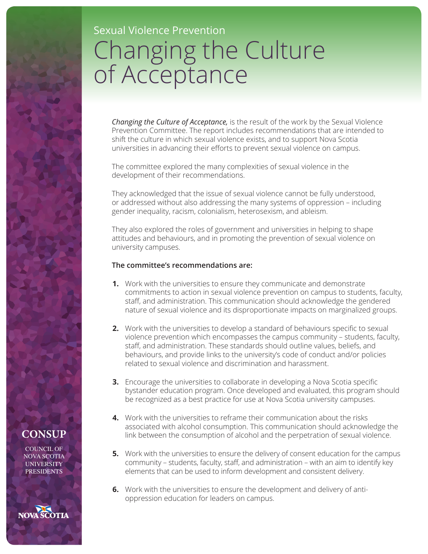## Sexual Violence Prevention Changing the Culture of Acceptance

*Changing the Culture of Acceptance,* is the result of the work by the Sexual Violence Prevention Committee. The report includes recommendations that are intended to shift the culture in which sexual violence exists, and to support Nova Scotia universities in advancing their efforts to prevent sexual violence on campus.

The committee explored the many complexities of sexual violence in the development of their recommendations.

They acknowledged that the issue of sexual violence cannot be fully understood, or addressed without also addressing the many systems of oppression – including gender inequality, racism, colonialism, heterosexism, and ableism.

They also explored the roles of government and universities in helping to shape attitudes and behaviours, and in promoting the prevention of sexual violence on university campuses.

## **The committee's recommendations are:**

- **1.** Work with the universities to ensure they communicate and demonstrate commitments to action in sexual violence prevention on campus to students, faculty, staff, and administration. This communication should acknowledge the gendered nature of sexual violence and its disproportionate impacts on marginalized groups.
- **2.** Work with the universities to develop a standard of behaviours specific to sexual violence prevention which encompasses the campus community – students, faculty, staff, and administration. These standards should outline values, beliefs, and behaviours, and provide links to the university's code of conduct and/or policies related to sexual violence and discrimination and harassment.
- **3.** Encourage the universities to collaborate in developing a Nova Scotia specific bystander education program. Once developed and evaluated, this program should be recognized as a best practice for use at Nova Scotia university campuses.
- **4.** Work with the universities to reframe their communication about the risks associated with alcohol consumption. This communication should acknowledge the link between the consumption of alcohol and the perpetration of sexual violence.
- **5.** Work with the universities to ensure the delivery of consent education for the campus community – students, faculty, staff, and administration – with an aim to identify key elements that can be used to inform development and consistent delivery.
- **6.** Work with the universities to ensure the development and delivery of antioppression education for leaders on campus.

## **CONSUP**

COUNCIL OF NOVA SCOTIA UNIVERSITY **PRESIDENTS**